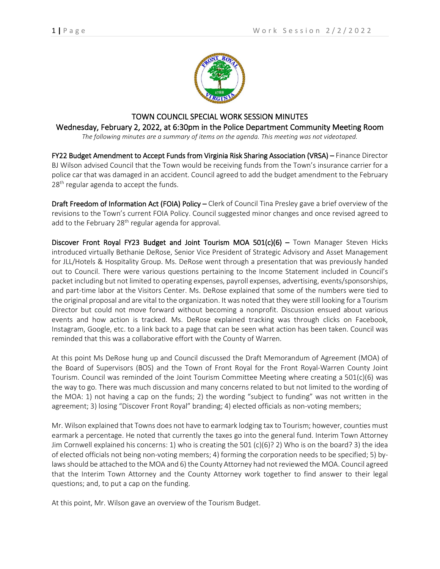

## TOWN COUNCIL SPECIAL WORK SESSION MINUTES Wednesday, February 2, 2022, at 6:30pm in the Police Department Community Meeting Room

*The following minutes are a summary of items on the agenda. This meeting was not videotaped.*

FY22 Budget Amendment to Accept Funds from Virginia Risk Sharing Association (VRSA) – Finance Director BJ Wilson advised Council that the Town would be receiving funds from the Town's insurance carrier for a police car that was damaged in an accident. Council agreed to add the budget amendment to the February 28<sup>th</sup> regular agenda to accept the funds.

Draft Freedom of Information Act (FOIA) Policy – Clerk of Council Tina Presley gave a brief overview of the revisions to the Town's current FOIA Policy. Council suggested minor changes and once revised agreed to add to the February 28<sup>th</sup> regular agenda for approval.

Discover Front Royal FY23 Budget and Joint Tourism MOA  $501(c)(6)$  – Town Manager Steven Hicks introduced virtually Bethanie DeRose, Senior Vice President of Strategic Advisory and Asset Management for JLL/Hotels & Hospitality Group. Ms. DeRose went through a presentation that was previously handed out to Council. There were various questions pertaining to the Income Statement included in Council's packet including but not limited to operating expenses, payroll expenses, advertising, events/sponsorships, and part-time labor at the Visitors Center. Ms. DeRose explained that some of the numbers were tied to the original proposal and are vital to the organization. It was noted that they were still looking for a Tourism Director but could not move forward without becoming a nonprofit. Discussion ensued about various events and how action is tracked. Ms. DeRose explained tracking was through clicks on Facebook, Instagram, Google, etc. to a link back to a page that can be seen what action has been taken. Council was reminded that this was a collaborative effort with the County of Warren.

At this point Ms DeRose hung up and Council discussed the Draft Memorandum of Agreement (MOA) of the Board of Supervisors (BOS) and the Town of Front Royal for the Front Royal-Warren County Joint Tourism. Council was reminded of the Joint Tourism Committee Meeting where creating a 501(c)(6) was the way to go. There was much discussion and many concerns related to but not limited to the wording of the MOA: 1) not having a cap on the funds; 2) the wording "subject to funding" was not written in the agreement; 3) losing "Discover Front Royal" branding; 4) elected officials as non-voting members;

Mr. Wilson explained that Towns does not have to earmark lodging tax to Tourism; however, counties must earmark a percentage. He noted that currently the taxes go into the general fund. Interim Town Attorney Jim Cornwell explained his concerns: 1) who is creating the 501 (c)(6)? 2) Who is on the board? 3) the idea of elected officials not being non-voting members; 4) forming the corporation needs to be specified; 5) bylaws should be attached to the MOA and 6) the County Attorney had not reviewed the MOA. Council agreed that the Interim Town Attorney and the County Attorney work together to find answer to their legal questions; and, to put a cap on the funding.

At this point, Mr. Wilson gave an overview of the Tourism Budget.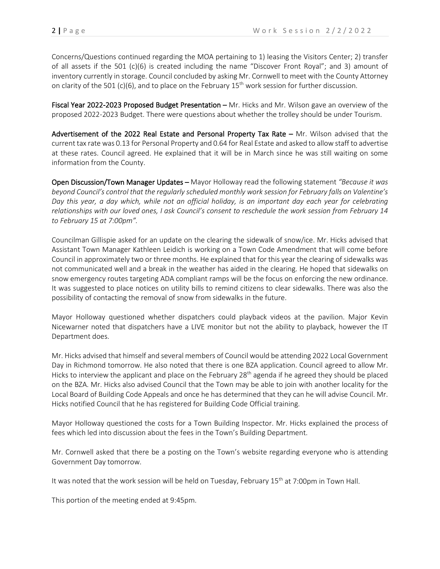Concerns/Questions continued regarding the MOA pertaining to 1) leasing the Visitors Center; 2) transfer of all assets if the 501 (c)(6) is created including the name "Discover Front Royal"; and 3) amount of inventory currently in storage. Council concluded by asking Mr. Cornwell to meet with the County Attorney on clarity of the 501 (c)(6), and to place on the February 15<sup>th</sup> work session for further discussion.

Fiscal Year 2022-2023 Proposed Budget Presentation - Mr. Hicks and Mr. Wilson gave an overview of the proposed 2022-2023 Budget. There were questions about whether the trolley should be under Tourism.

Advertisement of the 2022 Real Estate and Personal Property Tax Rate - Mr. Wilson advised that the current tax rate was 0.13 for Personal Property and 0.64 for Real Estate and asked to allow staff to advertise at these rates. Council agreed. He explained that it will be in March since he was still waiting on some information from the County.

Open Discussion/Town Manager Updates – Mayor Holloway read the following statement *"Because it was beyond Council's control that the regularly scheduled monthly work session for February falls on Valentine's Day this year, a day which, while not an official holiday, is an important day each year for celebrating relationships with our loved ones, I ask Council's consent to reschedule the work session from February 14 to February 15 at 7:00pm".*

Councilman Gillispie asked for an update on the clearing the sidewalk of snow/ice. Mr. Hicks advised that Assistant Town Manager Kathleen Leidich is working on a Town Code Amendment that will come before Council in approximately two or three months. He explained that for this year the clearing of sidewalks was not communicated well and a break in the weather has aided in the clearing. He hoped that sidewalks on snow emergency routes targeting ADA compliant ramps will be the focus on enforcing the new ordinance. It was suggested to place notices on utility bills to remind citizens to clear sidewalks. There was also the possibility of contacting the removal of snow from sidewalks in the future.

Mayor Holloway questioned whether dispatchers could playback videos at the pavilion. Major Kevin Nicewarner noted that dispatchers have a LIVE monitor but not the ability to playback, however the IT Department does.

Mr. Hicks advised that himself and several members of Council would be attending 2022 Local Government Day in Richmond tomorrow. He also noted that there is one BZA application. Council agreed to allow Mr. Hicks to interview the applicant and place on the February 28<sup>th</sup> agenda if he agreed they should be placed on the BZA. Mr. Hicks also advised Council that the Town may be able to join with another locality for the Local Board of Building Code Appeals and once he has determined that they can he will advise Council. Mr. Hicks notified Council that he has registered for Building Code Official training.

Mayor Holloway questioned the costs for a Town Building Inspector. Mr. Hicks explained the process of fees which led into discussion about the fees in the Town's Building Department.

Mr. Cornwell asked that there be a posting on the Town's website regarding everyone who is attending Government Day tomorrow.

It was noted that the work session will be held on Tuesday, February 15<sup>th</sup> at 7:00pm in Town Hall.

This portion of the meeting ended at 9:45pm.